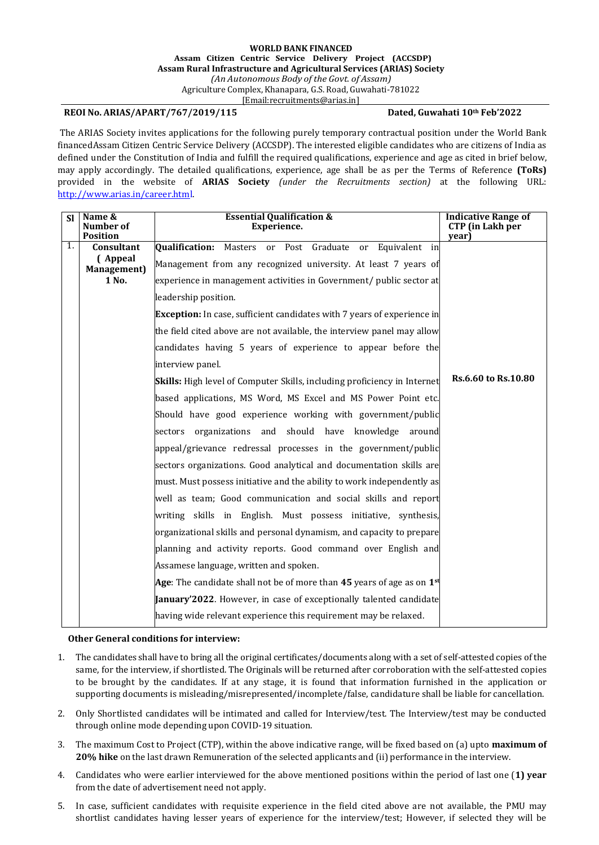## **REOI No. ARIAS/APART/767/2019/115 Dated, Guwahati 10th Feb'2022**

The ARIAS Society invites applications for the following purely temporary contractual position under the World Bank financedAssam Citizen Centric Service Delivery (ACCSDP). The interested eligible candidates who are citizens of India as defined under the Constitution of India and fulfill the required qualifications, experience and age as cited in brief below, may apply accordingly. The detailed qualifications, experience, age shall be as per the Terms of Reference **(ToRs)**  provided in the website of **ARIAS Society** *(under the Recruitments section)* at the following URL: [http://www.arias.in/career.html.](http://www.arias.in/career.html)

| <b>Sl</b> | Name &<br>Number of<br><b>Position</b>       | <b>Essential Qualification &amp;</b><br>Experience.                                                                        | <b>Indicative Range of</b><br><b>CTP</b> (in Lakh per<br>year) |
|-----------|----------------------------------------------|----------------------------------------------------------------------------------------------------------------------------|----------------------------------------------------------------|
| 1.        | Consultant<br>(Appeal<br><b>Management</b> ) | Qualification: Masters or Post Graduate or Equivalent in<br>Management from any recognized university. At least 7 years of |                                                                |
|           | 1 No.                                        | experience in management activities in Government/ public sector at                                                        |                                                                |
|           |                                              | leadership position.                                                                                                       |                                                                |
|           |                                              | <b>Exception:</b> In case, sufficient candidates with 7 years of experience in                                             |                                                                |
|           |                                              | the field cited above are not available, the interview panel may allow                                                     |                                                                |
|           |                                              | candidates having 5 years of experience to appear before the                                                               |                                                                |
|           |                                              | interview panel.                                                                                                           |                                                                |
|           |                                              | <b>Skills:</b> High level of Computer Skills, including proficiency in Internet                                            | Rs.6.60 to Rs.10.80                                            |
|           |                                              | based applications, MS Word, MS Excel and MS Power Point etc.                                                              |                                                                |
|           |                                              | Should have good experience working with government/public                                                                 |                                                                |
|           |                                              | sectors organizations and should have knowledge around                                                                     |                                                                |
|           |                                              | appeal/grievance redressal processes in the government/public                                                              |                                                                |
|           |                                              | sectors organizations. Good analytical and documentation skills are                                                        |                                                                |
|           |                                              | must. Must possess initiative and the ability to work independently as                                                     |                                                                |
|           |                                              | well as team; Good communication and social skills and report                                                              |                                                                |
|           |                                              | writing skills in English. Must possess initiative, synthesis,                                                             |                                                                |
|           |                                              | organizational skills and personal dynamism, and capacity to prepare                                                       |                                                                |
|           |                                              | planning and activity reports. Good command over English and                                                               |                                                                |
|           |                                              | Assamese language, written and spoken.                                                                                     |                                                                |
|           |                                              | Age: The candidate shall not be of more than 45 years of age as on $1^{st}$                                                |                                                                |
|           |                                              | January'2022. However, in case of exceptionally talented candidate                                                         |                                                                |
|           |                                              | having wide relevant experience this requirement may be relaxed.                                                           |                                                                |

## **Other General conditions for interview:**

- 1. The candidates shall have to bring all the original certificates/documents along with a set of self-attested copies of the same, for the interview, if shortlisted. The Originals will be returned after corroboration with the self-attested copies to be brought by the candidates. If at any stage, it is found that information furnished in the application or supporting documents is misleading/misrepresented/incomplete/false, candidature shall be liable for cancellation.
- 2. Only Shortlisted candidates will be intimated and called for Interview/test. The Interview/test may be conducted through online mode depending upon COVID-19 situation.
- 3. The maximum Cost to Project (CTP), within the above indicative range, will be fixed based on (a) upto **maximum of 20% hike** on the last drawn Remuneration of the selected applicants and (ii) performance in the interview.
- 4. Candidates who were earlier interviewed for the above mentioned positions within the period of last one (**1) year** from the date of advertisement need not apply.
- 5. In case, sufficient candidates with requisite experience in the field cited above are not available, the PMU may shortlist candidates having lesser years of experience for the interview/test; However, if selected they will be